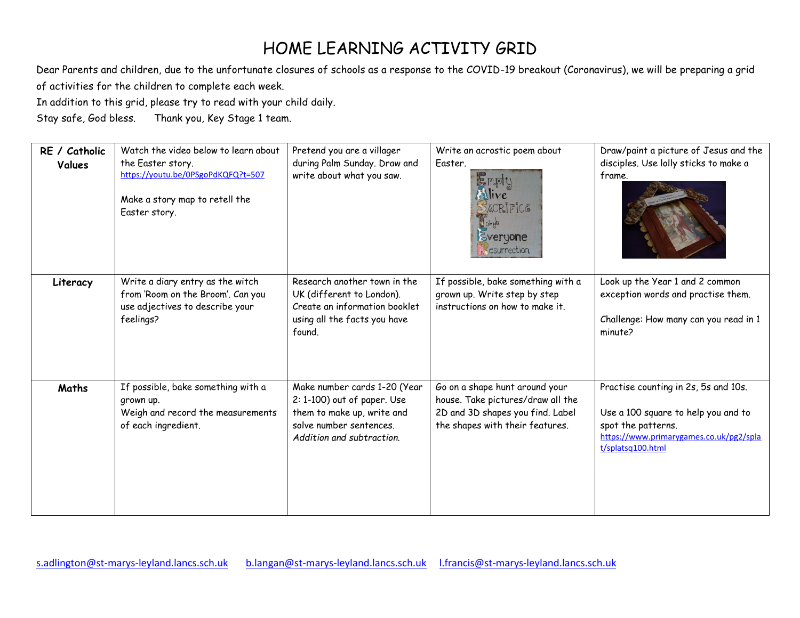## HOME LEARNING ACTIVITY GRID

Dear Parents and children, due to the unfortunate closures of schools as a response to the COVID-19 breakout (Coronavirus), we will be preparing a grid of activities for the children to complete each week.

In addition to this grid, please try to read with your child daily.

Stay safe, God bless. Thank you, Key Stage 1 team.

| RE / Catholic<br>Values | Watch the video below to learn about<br>the Easter story.<br>https://youtu.be/0PSgoPdKQFQ?t=507<br>Make a story map to retell the<br>Easter story. | Pretend you are a villager<br>during Palm Sunday. Draw and<br>write about what you saw.                                                           | Write an acrostic poem about<br>Easter.<br>Empty<br>Alive<br>ACRIPIC&                                                                      | Draw/paint a picture of Jesus and the<br>disciples. Use lolly sticks to make a<br>frame.                                                                          |
|-------------------------|----------------------------------------------------------------------------------------------------------------------------------------------------|---------------------------------------------------------------------------------------------------------------------------------------------------|--------------------------------------------------------------------------------------------------------------------------------------------|-------------------------------------------------------------------------------------------------------------------------------------------------------------------|
|                         |                                                                                                                                                    |                                                                                                                                                   | Chip<br>Everyone<br>csurrection                                                                                                            |                                                                                                                                                                   |
| Literacy                | Write a diary entry as the witch<br>from 'Room on the Broom'. Can you<br>use adjectives to describe your<br>feelings?                              | Research another town in the<br>UK (different to London).<br>Create an information booklet<br>using all the facts you have<br>found.              | If possible, bake something with a<br>grown up. Write step by step<br>instructions on how to make it.                                      | Look up the Year 1 and 2 common<br>exception words and practise them.<br>Challenge: How many can you read in 1<br>minute?                                         |
| Maths                   | If possible, bake something with a<br>grown up.<br>Weigh and record the measurements<br>of each ingredient.                                        | Make number cards 1-20 (Year<br>2: 1-100) out of paper. Use<br>them to make up, write and<br>solve number sentences.<br>Addition and subtraction. | Go on a shape hunt around your<br>house. Take pictures/draw all the<br>2D and 3D shapes you find. Label<br>the shapes with their features. | Practise counting in 2s, 5s and 10s.<br>Use a 100 square to help you and to<br>spot the patterns.<br>https://www.primarygames.co.uk/pg2/spla<br>t/splatsq100.html |